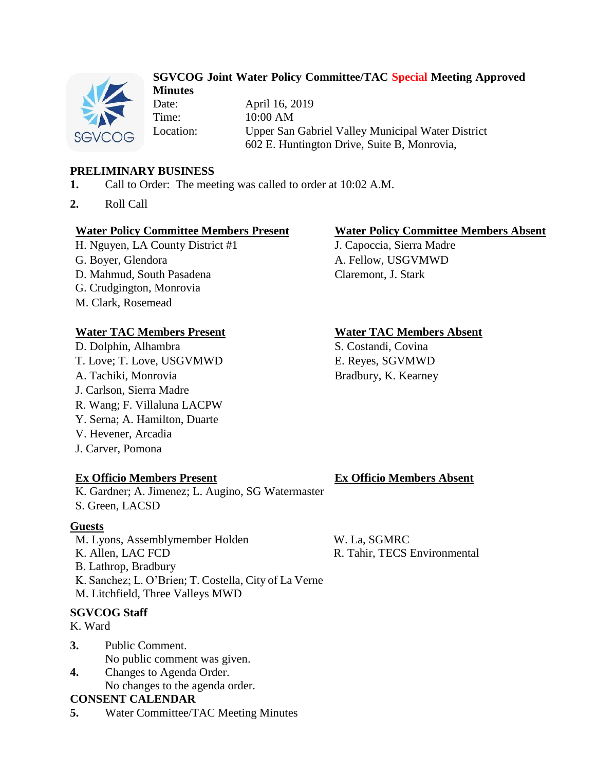

# **SGVCOG Joint Water Policy Committee/TAC Special Meeting Approved Minutes**

Date: April 16, 2019 Time: 10:00 AM Location: Upper San Gabriel Valley Municipal Water District 602 E. Huntington Drive, Suite B, Monrovia,

# **PRELIMINARY BUSINESS**

- **1.** Call to Order: The meeting was called to order at 10:02 A.M.
- **2.** Roll Call

# **Water Policy Committee Members Present Water Policy Committee Members Absent**

H. Nguyen, LA County District #1 J. Capoccia, Sierra Madre

- 
- D. Mahmud, South Pasadena Claremont, J. Stark
- G. Crudgington, Monrovia
- M. Clark, Rosemead

# **Water TAC Members Present Water TAC Members Absent**

D. Dolphin, Alhambra S. Costandi, Covina T. Love; T. Love, USGVMWD E. Reyes, SGVMWD A. Tachiki, Monrovia Bradbury, K. Kearney J. Carlson, Sierra Madre R. Wang; F. Villaluna LACPW Y. Serna; A. Hamilton, Duarte V. Hevener, Arcadia J. Carver, Pomona

K. Gardner; A. Jimenez; L. Augino, SG Watermaster S. Green, LACSD

# **Guests**

M. Lyons, Assemblymember Holden W. La, SGMRC K. Allen, LAC FCD R. Tahir, TECS Environmental B. Lathrop, Bradbury K. Sanchez; L. O'Brien; T. Costella, City of La Verne M. Litchfield, Three Valleys MWD

# **SGVCOG Staff**

K. Ward

- **3.** Public Comment. No public comment was given.
- **4.** Changes to Agenda Order. No changes to the agenda order.

# **CONSENT CALENDAR**

**5.** Water Committee/TAC Meeting Minutes

G. Boyer, Glendora **A. Fellow**, USGVMWD

# **Ex Officio Members Present Ex Officio Members Absent**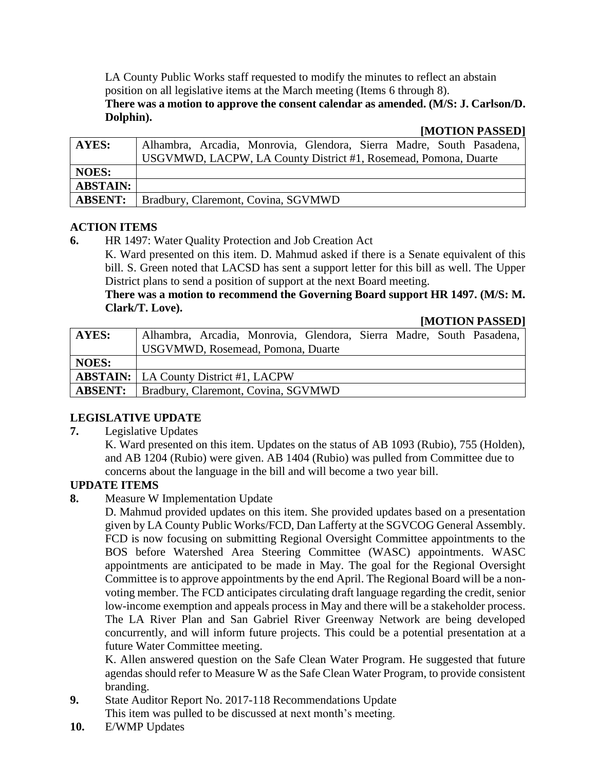LA County Public Works staff requested to modify the minutes to reflect an abstain position on all legislative items at the March meeting (Items 6 through 8). **There was a motion to approve the consent calendar as amended. (M/S: J. Carlson/D. Dolphin).**

### **[MOTION PASSED]**

| <b>AYES:</b>    | Alhambra, Arcadia, Monrovia, Glendora, Sierra Madre, South Pasadena, |  |  |  |  |
|-----------------|----------------------------------------------------------------------|--|--|--|--|
|                 | USGVMWD, LACPW, LA County District #1, Rosemead, Pomona, Duarte      |  |  |  |  |
| <b>NOES:</b>    |                                                                      |  |  |  |  |
| <b>ABSTAIN:</b> |                                                                      |  |  |  |  |
| <b>ABSENT:</b>  | Bradbury, Claremont, Covina, SGVMWD                                  |  |  |  |  |

### **ACTION ITEMS**

**6.** HR 1497: Water Quality Protection and Job Creation Act

K. Ward presented on this item. D. Mahmud asked if there is a Senate equivalent of this bill. S. Green noted that LACSD has sent a support letter for this bill as well. The Upper District plans to send a position of support at the next Board meeting.

### **There was a motion to recommend the Governing Board support HR 1497. (M/S: M. Clark/T. Love). [MOTION PASSED]**

|  |  | MU1U1U1A00E1 |  |                                         |
|--|--|--------------|--|-----------------------------------------|
|  |  |              |  | Glendora, Sierra Madre, South Pasadena, |
|  |  |              |  |                                         |

| <b>AYES:</b>   | Alhambra, Arcadia, Monrovia, Glendora, Sierra Madre, South Pasadena, |  |  |  |  |
|----------------|----------------------------------------------------------------------|--|--|--|--|
|                | <b>USGVMWD, Rosemead, Pomona, Duarte</b>                             |  |  |  |  |
| <b>NOES:</b>   |                                                                      |  |  |  |  |
|                | <b>ABSTAIN:</b>   LA County District #1, LACPW                       |  |  |  |  |
| <b>ABSENT:</b> | Bradbury, Claremont, Covina, SGVMWD                                  |  |  |  |  |

# **LEGISLATIVE UPDATE**

**7.** Legislative Updates

K. Ward presented on this item. Updates on the status of AB 1093 (Rubio), 755 (Holden), and AB 1204 (Rubio) were given. AB 1404 (Rubio) was pulled from Committee due to concerns about the language in the bill and will become a two year bill.

# **UPDATE ITEMS**

**8.** Measure W Implementation Update

D. Mahmud provided updates on this item. She provided updates based on a presentation given by LA County Public Works/FCD, Dan Lafferty at the SGVCOG General Assembly. FCD is now focusing on submitting Regional Oversight Committee appointments to the BOS before Watershed Area Steering Committee (WASC) appointments. WASC appointments are anticipated to be made in May. The goal for the Regional Oversight Committee is to approve appointments by the end April. The Regional Board will be a nonvoting member. The FCD anticipates circulating draft language regarding the credit, senior low-income exemption and appeals process in May and there will be a stakeholder process. The LA River Plan and San Gabriel River Greenway Network are being developed concurrently, and will inform future projects. This could be a potential presentation at a future Water Committee meeting.

K. Allen answered question on the Safe Clean Water Program. He suggested that future agendas should refer to Measure W as the Safe Clean Water Program, to provide consistent branding.

- **9.** State Auditor Report No. 2017-118 Recommendations Update This item was pulled to be discussed at next month's meeting.
- **10.** E/WMP Updates